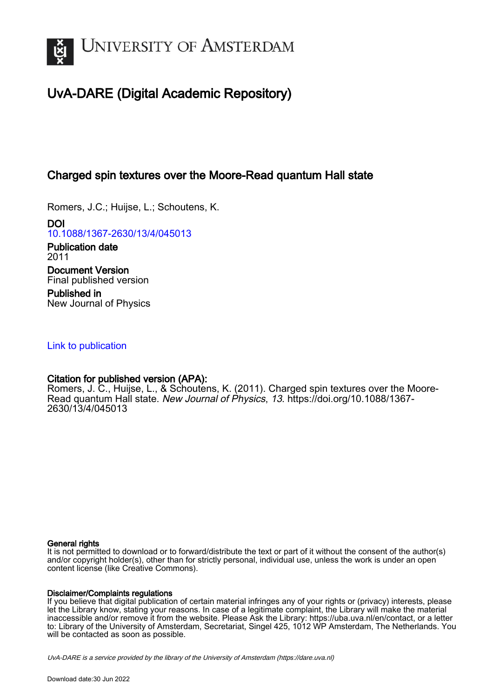

# UvA-DARE (Digital Academic Repository)

## Charged spin textures over the Moore-Read quantum Hall state

Romers, J.C.; Huijse, L.; Schoutens, K.

DOI [10.1088/1367-2630/13/4/045013](https://doi.org/10.1088/1367-2630/13/4/045013)

Publication date 2011 Document Version Final published version Published in

New Journal of Physics

## [Link to publication](https://dare.uva.nl/personal/pure/en/publications/charged-spin-textures-over-the-mooreread-quantum-hall-state(1f4aafe9-c4fc-4a40-9494-bd356ec2190e).html)

### Citation for published version (APA):

Romers, J. C., Huijse, L., & Schoutens, K. (2011). Charged spin textures over the Moore-Read quantum Hall state. New Journal of Physics, 13. [https://doi.org/10.1088/1367-](https://doi.org/10.1088/1367-2630/13/4/045013) [2630/13/4/045013](https://doi.org/10.1088/1367-2630/13/4/045013)

#### General rights

It is not permitted to download or to forward/distribute the text or part of it without the consent of the author(s) and/or copyright holder(s), other than for strictly personal, individual use, unless the work is under an open content license (like Creative Commons).

#### Disclaimer/Complaints regulations

If you believe that digital publication of certain material infringes any of your rights or (privacy) interests, please let the Library know, stating your reasons. In case of a legitimate complaint, the Library will make the material inaccessible and/or remove it from the website. Please Ask the Library: https://uba.uva.nl/en/contact, or a letter to: Library of the University of Amsterdam, Secretariat, Singel 425, 1012 WP Amsterdam, The Netherlands. You will be contacted as soon as possible.

UvA-DARE is a service provided by the library of the University of Amsterdam (http*s*://dare.uva.nl)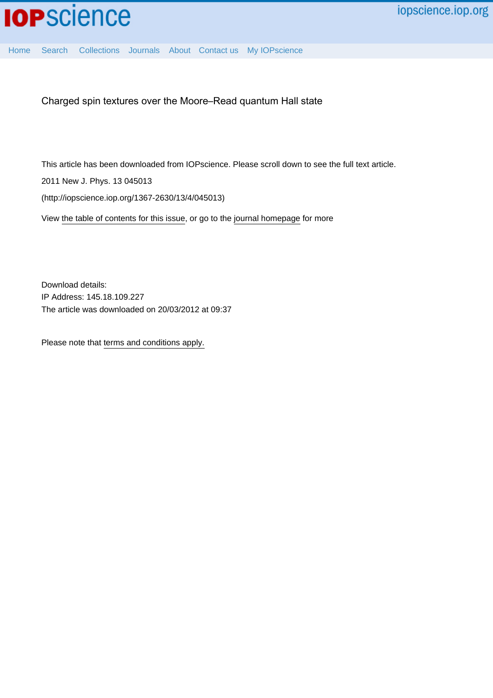[Home](http://iopscience.iop.org/) [Search](http://iopscience.iop.org/search) [Collections](http://iopscience.iop.org/collections) [Journals](http://iopscience.iop.org/journals) [About](http://iopscience.iop.org/page/aboutioppublishing) [Contact us](http://iopscience.iop.org/contact) [My IOPscience](http://iopscience.iop.org/myiopscience)

Charged spin textures over the Moore–Read quantum Hall state

This article has been downloaded from IOPscience. Please scroll down to see the full text article.

2011 New J. Phys. 13 045013

(http://iopscience.iop.org/1367-2630/13/4/045013)

View [the table of contents for this issue](http://iopscience.iop.org/1367-2630/13/4), or go to the [journal homepage](http://iopscience.iop.org/1367-2630) for more

Download details: IP Address: 145.18.109.227 The article was downloaded on 20/03/2012 at 09:37

Please note that [terms and conditions apply.](http://iopscience.iop.org/page/terms)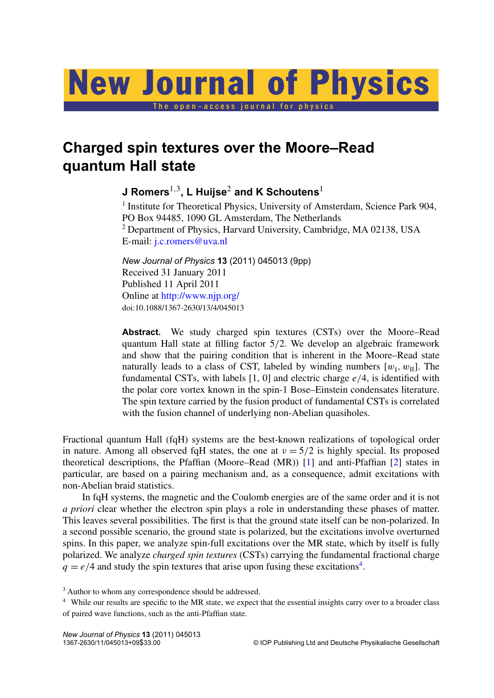# New Journal of Physics

The open-access journal for physics

# **Charged spin textures over the Moore–Read quantum Hall state**

**J Romers**1,<sup>3</sup> **, L Huijse**<sup>2</sup> **and K Schoutens**<sup>1</sup>

<sup>1</sup> Institute for Theoretical Physics, University of Amsterdam, Science Park 904, PO Box 94485, 1090 GL Amsterdam, The Netherlands <sup>2</sup> Department of Physics, Harvard University, Cambridge, MA 02138, USA E-mail: [j.c.romers@uva.nl](mailto:j.c.romers@uva.nl)

*New Journal of Physics* **13** (2011) 045013 (9pp) Received 31 January 2011 Published 11 April 2011 Online at <http://www.njp.org/> doi:10.1088/1367-2630/13/4/045013

**Abstract.** We study charged spin textures (CSTs) over the Moore–Read quantum Hall state at filling factor 5/2. We develop an algebraic framework and show that the pairing condition that is inherent in the Moore–Read state naturally leads to a class of CST, labeled by winding numbers  $[w_I, w_{II}]$ . The fundamental CSTs, with labels [1, 0] and electric charge *e*/4, is identified with the polar core vortex known in the spin-1 Bose–Einstein condensates literature. The spin texture carried by the fusion product of fundamental CSTs is correlated with the fusion channel of underlying non-Abelian quasiholes.

Fractional quantum Hall (fqH) systems are the best-known realizations of topological order in nature. Among all observed fqH states, the one at  $v = 5/2$  is highly special. Its proposed theoretical descriptions, the Pfaffian (Moore–Read (MR)) [\[1\]](#page-10-0) and anti-Pfaffian [\[2\]](#page-10-0) states in particular, are based on a pairing mechanism and, as a consequence, admit excitations with non-Abelian braid statistics.

In fqH systems, the magnetic and the Coulomb energies are of the same order and it is not *a priori* clear whether the electron spin plays a role in understanding these phases of matter. This leaves several possibilities. The first is that the ground state itself can be non-polarized. In a second possible scenario, the ground state is polarized, but the excitations involve overturned spins. In this paper, we analyze spin-full excitations over the MR state, which by itself is fully polarized. We analyze *charged spin textures* (CSTs) carrying the fundamental fractional charge  $q = e/4$  and study the spin textures that arise upon fusing these excitations<sup>4</sup>.

<sup>3</sup> Author to whom any correspondence should be addressed.

<sup>&</sup>lt;sup>4</sup> While our results are specific to the MR state, we expect that the essential insights carry over to a broader class of paired wave functions, such as the anti-Pfaffian state.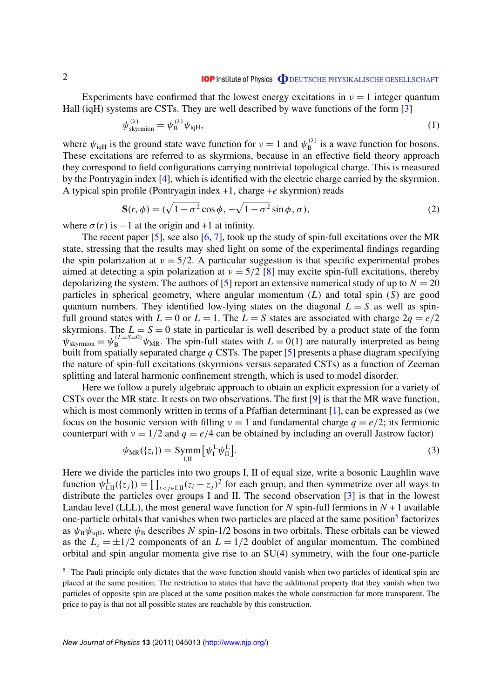<span id="page-3-0"></span>Experiments have confirmed that the lowest energy excitations in  $v = 1$  integer quantum Hall (iqH) systems are CSTs. They are well described by wave functions of the form [\[3\]](#page-10-0)

$$
\psi_{\text{skyrmion}}^{(\lambda)} = \psi_{\text{B}}^{(\lambda)} \psi_{\text{iqH}},\tag{1}
$$

where  $\psi_{\text{iqH}}$  is the ground state wave function for  $v = 1$  and  $\psi_{\text{B}}^{(\lambda)}$  $B_B^{(\lambda)}$  is a wave function for bosons. These excitations are referred to as skyrmions, because in an effective field theory approach they correspond to field configurations carrying nontrivial topological charge. This is measured by the Pontryagin index [\[4\]](#page-10-0), which is identified with the electric charge carried by the skyrmion. A typical spin profile (Pontryagin index +1, charge +*e* skyrmion) reads

$$
\mathbf{S}(r,\phi) = (\sqrt{1-\sigma^2}\cos\phi, -\sqrt{1-\sigma^2}\sin\phi, \sigma),\tag{2}
$$

where  $\sigma(r)$  is  $-1$  at the origin and +1 at infinity.

The recent paper [\[5\]](#page-10-0), see also [\[6,](#page-10-0) [7\]](#page-10-0), took up the study of spin-full excitations over the MR state, stressing that the results may shed light on some of the experimental findings regarding the spin polarization at  $v = 5/2$ . A particular suggestion is that specific experimental probes aimed at detecting a spin polarization at  $v = 5/2$  [\[8\]](#page-10-0) may excite spin-full excitations, thereby depolarizing the system. The authors of  $[5]$  report an extensive numerical study of up to  $N = 20$ particles in spherical geometry, where angular momentum (*L*) and total spin (*S*) are good quantum numbers. They identified low-lying states on the diagonal  $L = S$  as well as spinfull ground states with  $L = 0$  or  $L = 1$ . The  $L = S$  states are associated with charge  $2q = e/2$ skyrmions. The  $L = S = 0$  state in particular is well described by a product state of the form  $\psi_{\text{skyrmion}} = \psi_{\text{B}}^{(L=S=0)} \psi_{\text{MR}}$ . The spin-full states with  $L = 0(1)$  are naturally interpreted as being built from spatially separated charge *q* CSTs. The paper [\[5\]](#page-10-0) presents a phase diagram specifying the nature of spin-full excitations (skyrmions versus separated CSTs) as a function of Zeeman splitting and lateral harmonic confinement strength, which is used to model disorder.

Here we follow a purely algebraic approach to obtain an explicit expression for a variety of CSTs over the MR state. It rests on two observations. The first [\[9\]](#page-10-0) is that the MR wave function, which is most commonly written in terms of a Pfaffian determinant [\[1\]](#page-10-0), can be expressed as (we focus on the bosonic version with filling  $v = 1$  and fundamental charge  $q = e/2$ ; its fermionic counterpart with  $v = 1/2$  and  $q = e/4$  can be obtained by including an overall Jastrow factor)

$$
\psi_{\text{MR}}(\{z_i\}) = \text{Symm}\left[\psi_{\text{I}}^{\text{L}}\psi_{\text{II}}^{\text{L}}\right].\tag{3}
$$

Here we divide the particles into two groups I, II of equal size, write a bosonic Laughlin wave function  $\psi_{I,II}^L(\{z_j\}) = \prod_{i < j \in I,II} (z_i - z_j)^2$  for each group, and then symmetrize over all ways to distribute the particles over groups I and II. The second observation [\[3\]](#page-10-0) is that in the lowest Landau level (LLL), the most general wave function for *N* spin-full fermions in  $N + 1$  available one-particle orbitals that vanishes when two particles are placed at the same position<sup>5</sup> factorizes as  $\psi_B \psi_{\text{iaH}}$ , where  $\psi_B$  describes *N* spin-1/2 bosons in two orbitals. These orbitals can be viewed as the  $L_z = \pm 1/2$  components of an  $L = 1/2$  doublet of angular momentum. The combined orbital and spin angular momenta give rise to an SU(4) symmetry, with the four one-particle

<sup>&</sup>lt;sup>5</sup> The Pauli principle only dictates that the wave function should vanish when two particles of identical spin are placed at the same position. The restriction to states that have the additional property that they vanish when two particles of opposite spin are placed at the same position makes the whole construction far more transparent. The price to pay is that not all possible states are reachable by this construction.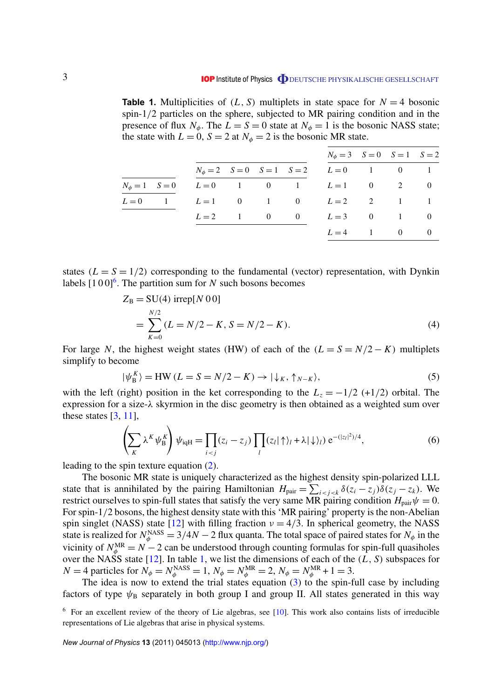<span id="page-4-0"></span>**Table 1.** Multiplicities of  $(L, S)$  multiplets in state space for  $N = 4$  bosonic spin-1/2 particles on the sphere, subjected to MR pairing condition and in the presence of flux  $N_{\phi}$ . The  $L = S = 0$  state at  $N_{\phi} = 1$  is the bosonic NASS state; the state with  $L = 0$ ,  $S = 2$  at  $N_{\phi} = 2$  is the bosonic MR state.

| $N_{\phi} = 3$ $S = 0$ $S = 1$ $S = 2$               |  |
|------------------------------------------------------|--|
|                                                      |  |
| $N_{\phi} = 2$ $S = 0$ $S = 1$ $S = 2$ $L = 0$ 1 0 1 |  |
| $N_{\phi} = 1$ $S = 0$ $L = 0$ 1 0 1 $L = 1$ 0 2 0   |  |
| $L=0$ 1 $L=1$ 0 1 0 $L=2$ 2 1 1                      |  |
| $L=2$ 1 0 0 $L=3$ 0 1 0                              |  |
| $L = 4$ 1 0 0                                        |  |

states  $(L = S = 1/2)$  corresponding to the fundamental (vector) representation, with Dynkin labels  $[100]$ <sup>6</sup>. The partition sum for *N* such bosons becomes

$$
Z_{\rm B} = SU(4) \text{ irrep}[N 0 0]
$$
  
= 
$$
\sum_{K=0}^{N/2} (L = N/2 - K, S = N/2 - K).
$$
 (4)

For large *N*, the highest weight states (HW) of each of the  $(L = S = N/2 - K)$  multiplets simplify to become

$$
|\psi_{\mathcal{B}}^{K}\rangle = \text{HW}\,(L = S = N/2 - K) \to |\downarrow_{K}, \uparrow_{N-K}\rangle,\tag{5}
$$

with the left (right) position in the ket corresponding to the  $L_z = -1/2$  (+1/2) orbital. The expression for a size- $\lambda$  skyrmion in the disc geometry is then obtained as a weighted sum over these states [\[3,](#page-10-0) [11\]](#page-10-0),

$$
\left(\sum_{K} \lambda^{K} \psi_{B}^{K}\right) \psi_{\text{iqH}} = \prod_{i < j} (z_{i} - z_{j}) \prod_{l} (z_{l} | \uparrow \rangle_{l} + \lambda | \downarrow \rangle_{l}) e^{-(|z_{l}|^{2})/4},\tag{6}
$$

leading to the spin texture equation [\(2\)](#page-3-0).

The bosonic MR state is uniquely characterized as the highest density spin-polarized LLL state that is annihilated by the pairing Hamiltonian  $H_{\text{pair}} = \sum_{i < j < k} \delta(z_i - z_j) \overline{\delta}(z_j - z_k)$ . We restrict ourselves to spin-full states that satisfy the very same MR pairing condition  $H_{\text{pair}} \psi = 0$ . For spin-1/2 bosons, the highest density state with this 'MR pairing' property is the non-Abelian spin singlet (NASS) state [\[12\]](#page-10-0) with filling fraction  $v = 4/3$ . In spherical geometry, the NASS state is realized for  $N_{\phi}^{\text{NASS}} = 3/4N - 2$  flux quanta. The total space of paired states for  $N_{\phi}$  in the vicinity of  $N_{\phi}^{\text{MR}} = N - 2$  can be understood through counting formulas for spin-full quasiholes over the NASS state [\[12\]](#page-10-0). In table 1, we list the dimensions of each of the (*L*, *S*) subspaces for  $N = 4$  particles for  $N_{\phi} = N_{\phi}^{\text{NASS}} = 1$ ,  $N_{\phi} = N_{\phi}^{\text{MR}} = 2$ ,  $N_{\phi} = N_{\phi}^{\text{MR}} + 1 = 3$ .

The idea is now to extend the trial states equation [\(3\)](#page-3-0) to the spin-full case by including factors of type  $\psi_B$  separately in both group I and group II. All states generated in this way

 $6$  For an excellent review of the theory of Lie algebras, see [\[10\]](#page-10-0). This work also contains lists of irreducible representations of Lie algebras that arise in physical systems.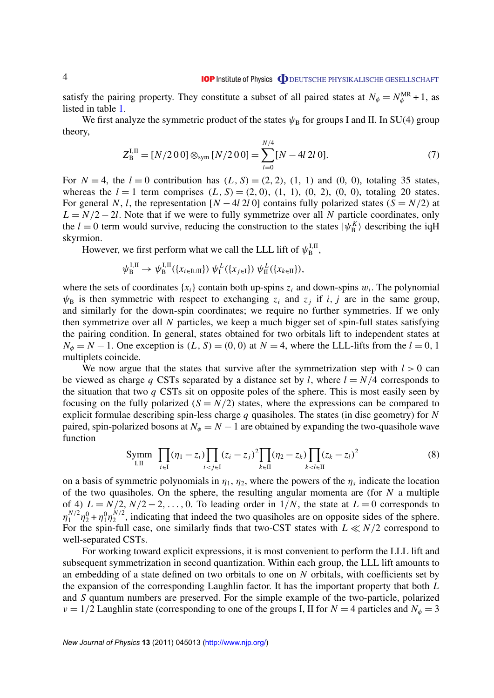satisfy the pairing property. They constitute a subset of all paired states at  $N_{\phi} = N_{\phi}^{MR} + 1$ , as listed in table [1.](#page-4-0)

We first analyze the symmetric product of the states  $\psi_B$  for groups I and II. In SU(4) group theory,

$$
Z_{\rm B}^{\rm I,II} = [N/200] \otimes_{\rm sym} [N/200] = \sum_{l=0}^{N/4} [N - 4l \, 2l \, 0]. \tag{7}
$$

For  $N = 4$ , the  $l = 0$  contribution has  $(L, S) = (2, 2), (1, 1)$  and  $(0, 0)$ , totaling 35 states, whereas the  $l = 1$  term comprises  $(L, S) = (2, 0), (1, 1), (0, 2), (0, 0),$  totaling 20 states. For general *N*, *l*, the representation  $[N - 4l \, 2l \, 0]$  contains fully polarized states  $(S = N/2)$  at  $L = N/2 - 2l$ . Note that if we were to fully symmetrize over all *N* particle coordinates, only the  $l = 0$  term would survive, reducing the construction to the states  $|\psi_{B}^{K}\rangle$  describing the iqH skyrmion.

However, we first perform what we call the LLL lift of  $\psi_{\rm B}^{\rm I,II}$ , 1, 11<br>В

$$
\psi_{\mathcal{B}}^{\mathcal{I},\mathcal{I}} \to \psi_{\mathcal{B}}^{\mathcal{I},\mathcal{I}}(\{x_{i\in\mathcal{I}\cup\mathcal{I}}\}) \psi_{\mathcal{I}}^{L}(\{x_{j\in\mathcal{I}}\}) \psi_{\mathcal{I}}^{L}(\{x_{k\in\mathcal{I}}\}),
$$

where the sets of coordinates  $\{x_i\}$  contain both up-spins  $z_i$  and down-spins  $w_i$ . The polynomial  $\psi_B$  is then symmetric with respect to exchanging  $z_i$  and  $z_j$  if *i*, *j* are in the same group, and similarly for the down-spin coordinates; we require no further symmetries. If we only then symmetrize over all *N* particles, we keep a much bigger set of spin-full states satisfying the pairing condition. In general, states obtained for two orbitals lift to independent states at  $N_{\phi} = N - 1$ . One exception is  $(L, S) = (0, 0)$  at  $N = 4$ , where the LLL-lifts from the  $l = 0, 1$ multiplets coincide.

We now argue that the states that survive after the symmetrization step with  $l > 0$  can be viewed as charge *q* CSTs separated by a distance set by *l*, where  $l = N/4$  corresponds to the situation that two *q* CSTs sit on opposite poles of the sphere. This is most easily seen by focusing on the fully polarized  $(S = N/2)$  states, where the expressions can be compared to explicit formulae describing spin-less charge *q* quasiholes. The states (in disc geometry) for *N* paired, spin-polarized bosons at  $N_{\phi} = N - 1$  are obtained by expanding the two-quasihole wave function

$$
\text{Symm} \ \prod_{i \in I} (\eta_1 - z_i) \prod_{i < j \in I} (z_i - z_j)^2 \prod_{k \in II} (\eta_2 - z_k) \prod_{k < l \in II} (z_k - z_l)^2 \tag{8}
$$

on a basis of symmetric polynomials in  $\eta_1$ ,  $\eta_2$ , where the powers of the  $\eta_s$  indicate the location of the two quasiholes. On the sphere, the resulting angular momenta are (for *N* a multiple of 4)  $L = N/2, N/2 - 2, \ldots, 0$ . To leading order in  $1/N$ , the state at  $L = 0$  corresponds to  $\eta_1^{N/2}$  $\eta_1^{N/2} \eta_2^0 + \eta_1^0 \eta_2^{N/2}$  $2^{N/2}$ , indicating that indeed the two quasiholes are on opposite sides of the sphere. For the spin-full case, one similarly finds that two-CST states with  $L \ll N/2$  correspond to well-separated CSTs.

For working toward explicit expressions, it is most convenient to perform the LLL lift and subsequent symmetrization in second quantization. Within each group, the LLL lift amounts to an embedding of a state defined on two orbitals to one on *N* orbitals, with coefficients set by the expansion of the corresponding Laughlin factor. It has the important property that both *L* and *S* quantum numbers are preserved. For the simple example of the two-particle, polarized  $v = 1/2$  Laughlin state (corresponding to one of the groups I, II for  $N = 4$  particles and  $N_{\phi} = 3$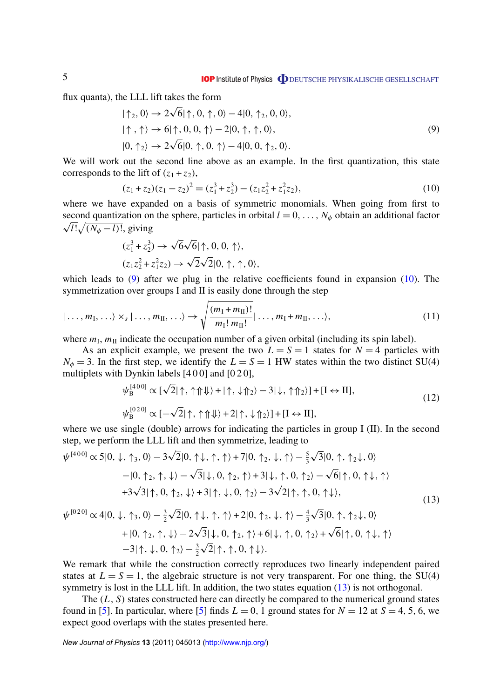flux quanta), the LLL lift takes the form

$$
|\uparrow_2, 0\rangle \rightarrow 2\sqrt{6}|\uparrow, 0, \uparrow, 0\rangle - 4|0, \uparrow_2, 0, 0\rangle,
$$
  

$$
|\uparrow, \uparrow\rangle \rightarrow 6|\uparrow, 0, 0, \uparrow\rangle - 2|0, \uparrow, \uparrow, 0\rangle,
$$
  

$$
|0, \uparrow_2\rangle \rightarrow 2\sqrt{6}|0, \uparrow, 0, \uparrow\rangle - 4|0, 0, \uparrow_2, 0\rangle.
$$
 (9)

We will work out the second line above as an example. In the first quantization, this state corresponds to the lift of  $(z_1 + z_2)$ ,

$$
(z_1 + z_2)(z_1 - z_2)^2 = (z_1^3 + z_2^3) - (z_1 z_2^2 + z_1^2 z_2),
$$
\n(10)

where we have expanded on a basis of symmetric monomials. When going from first to second quantization on the sphere, particles in orbital  $l = 0, \ldots, N_{\phi}$  obtain an additional factor  $\overline{l!}\sqrt{(N_\phi - l)!}$ , giving √

$$
\begin{aligned} (z_1^3 + z_2^3) &\rightarrow \sqrt{6}\sqrt{6}|\!\uparrow, 0, 0, \uparrow\rangle, \\ (z_1 z_2^2 + z_1^2 z_2) &\rightarrow \sqrt{2}\sqrt{2}|0, \uparrow, \uparrow, 0\rangle, \end{aligned}
$$

which leads to  $(9)$  after we plug in the relative coefficients found in expansion  $(10)$ . The symmetrization over groups I and II is easily done through the step

$$
|\ldots, m_{\rm I}, \ldots \rangle \times_{s} |\ldots, m_{\rm II}, \ldots \rangle \rightarrow \sqrt{\frac{(m_{\rm I} + m_{\rm II})!}{m_{\rm I}! \, m_{\rm II}!}} |\ldots, m_{\rm I} + m_{\rm II}, \ldots \rangle, \tag{11}
$$

where  $m_{\text{I}}$ ,  $m_{\text{II}}$  indicate the occupation number of a given orbital (including its spin label).

As an explicit example, we present the two  $L = S = 1$  states for  $N = 4$  particles with  $N_{\phi} = 3$ . In the first step, we identify the  $L = S = 1$  HW states within the two distinct SU(4) multiplets with Dynkin labels [400] and [020],

$$
\psi_{\mathcal{B}}^{[400]} \propto [\sqrt{2}|\uparrow, \uparrow \uparrow \downarrow \rangle + |\uparrow, \downarrow \uparrow \rangle - 3|\downarrow, \uparrow \uparrow \rangle] + [I \leftrightarrow II],
$$
  
\n
$$
\psi_{\mathcal{B}}^{[020]} \propto [-\sqrt{2}|\uparrow, \uparrow \uparrow \downarrow \rangle + 2|\uparrow, \downarrow \uparrow \rangle] + [I \leftrightarrow II],
$$
\n(12)

where we use single (double) arrows for indicating the particles in group I (II). In the second step, we perform the LLL lift and then symmetrize, leading to

$$
\psi^{[400]} \propto 5|0, \downarrow, \uparrow_3, 0\rangle - 3\sqrt{2}|0, \uparrow\downarrow, \uparrow, \uparrow\rangle + 7|0, \uparrow_2, \downarrow, \uparrow\rangle - \frac{5}{3}\sqrt{3}|0, \uparrow, \uparrow_2\downarrow, 0\rangle -|0, \uparrow_2, \uparrow, \downarrow\rangle - \sqrt{3}|\downarrow, 0, \uparrow_2, \uparrow\rangle + 3|\downarrow, \uparrow, 0, \uparrow_2\rangle - \sqrt{6}|\uparrow, 0, \uparrow\downarrow, \uparrow\rangle + 3\sqrt{3}|\uparrow, 0, \uparrow_2, \downarrow\rangle + 3|\uparrow, \downarrow, 0, \uparrow_2\rangle - 3\sqrt{2}|\uparrow, \uparrow, 0, \uparrow\downarrow\rangle,
$$
\n(13)

$$
\psi^{[020]} \propto 4|0, \downarrow, \uparrow_3, 0\rangle - \frac{3}{2}\sqrt{2}|0, \uparrow\downarrow, \uparrow, \uparrow\rangle + 2|0, \uparrow_2, \downarrow, \uparrow\rangle - \frac{4}{3}\sqrt{3}|0, \uparrow, \uparrow_2\downarrow, 0\rangle
$$
  
+ |0, \uparrow\_2, \uparrow, \downarrow\rangle - 2\sqrt{3}|\downarrow, 0, \uparrow\_2, \uparrow\rangle + 6|\downarrow, \uparrow, 0, \uparrow\_2\rangle + \sqrt{6}|\uparrow, 0, \uparrow\downarrow, \uparrow\rangle  
-3|\uparrow, \downarrow, 0, \uparrow\_2\rangle - \frac{3}{2}\sqrt{2}|\uparrow, \uparrow, 0, \uparrow\downarrow\rangle.

We remark that while the construction correctly reproduces two linearly independent paired states at  $L = S = 1$ , the algebraic structure is not very transparent. For one thing, the SU(4) symmetry is lost in the LLL lift. In addition, the two states equation (13) is not orthogonal.

The  $(L, S)$  states constructed here can directly be compared to the numerical ground states found in [\[5\]](#page-10-0). In particular, where [5] finds  $L = 0$ , 1 ground states for  $N = 12$  at  $S = 4, 5, 6$ , we expect good overlaps with the states presented here.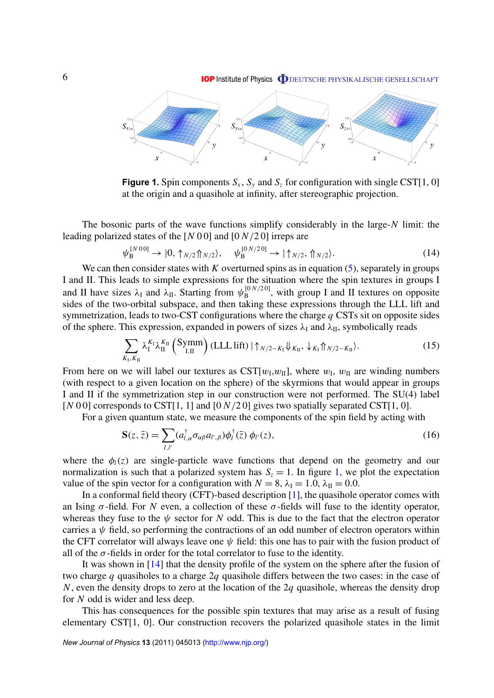**IOP** Institute of Physics **ODEUTSCHE PHYSIKALISCHE GESELLSCHAFT** 

<span id="page-7-0"></span>

**Figure 1.** Spin components  $S_x$ ,  $S_y$  and  $S_z$  for configuration with single CST[1, 0] at the origin and a quasihole at infinity, after stereographic projection.

The bosonic parts of the wave functions simplify considerably in the large-*N* limit: the leading polarized states of the [*N* 0 0] and [0 *N*/2 0] irreps are

$$
\psi_{\mathcal{B}}^{[N00]} \to |0, \uparrow_{N/2} \uparrow_{N/2}, \quad \psi_{\mathcal{B}}^{[0 \, N/20]} \to |\uparrow_{N/2}, \uparrow_{N/2} \rangle. \tag{14}
$$

We can then consider states with  $K$  overturned spins as in equation  $(5)$ , separately in groups I and II. This leads to simple expressions for the situation where the spin textures in groups I and II have sizes  $\lambda_I$  and  $\lambda_{II}$ . Starting from  $\psi_B^{[0 N/2 0]}$  $B_B^{[0:N/20]}$ , with group I and II textures on opposite sides of the two-orbital subspace, and then taking these expressions through the LLL lift and symmetrization, leads to two-CST configurations where the charge *q* CSTs sit on opposite sides of the sphere. This expression, expanded in powers of sizes  $\lambda_I$  and  $\lambda_{II}$ , symbolically reads

$$
\sum_{K_{\rm I}, K_{\rm II}} \lambda_{\rm I}^{K_{\rm I}} \lambda_{\rm II}^{K_{\rm II}} \left( \text{Symm} \right) \left( \text{LLL lift} \right) \left| \uparrow_{N/2 - K_{\rm I}} \Downarrow_{K_{\rm II}}, \downarrow_{K_{\rm I}} \Uparrow_{N/2 - K_{\rm II}} \right\rangle. \tag{15}
$$

From here on we will label our textures as  $\text{CST}[w_{\text{I}}, w_{\text{II}}]$ , where  $w_{\text{I}}$ ,  $w_{\text{II}}$  are winding numbers (with respect to a given location on the sphere) of the skyrmions that would appear in groups I and II if the symmetrization step in our construction were not performed. The SU(4) label  $[N\ 0\ 0]$  corresponds to CST[1, 1] and  $[0\ N/2\ 0]$  gives two spatially separated CST[1, 0].

For a given quantum state, we measure the components of the spin field by acting with

$$
\mathbf{S}(z,\bar{z}) = \sum_{l,l'} (a_{l,\alpha}^{\dagger} \sigma_{\alpha\beta} a_{l',\beta}) \phi_l^{\dagger}(\bar{z}) \phi_{l'}(z), \qquad (16)
$$

where the  $\phi_l(z)$  are single-particle wave functions that depend on the geometry and our normalization is such that a polarized system has  $S_z = 1$ . In figure 1, we plot the expectation value of the spin vector for a configuration with  $N = 8$ ,  $\lambda_I = 1.0$ ,  $\lambda_{II} = 0.0$ .

In a conformal field theory (CFT)-based description [\[1\]](#page-10-0), the quasihole operator comes with an Ising  $\sigma$ -field. For *N* even, a collection of these  $\sigma$ -fields will fuse to the identity operator, whereas they fuse to the  $\psi$  sector for *N* odd. This is due to the fact that the electron operator carries a  $\psi$  field, so performing the contractions of an odd number of electron operators within the CFT correlator will always leave one  $\psi$  field: this one has to pair with the fusion product of all of the  $\sigma$ -fields in order for the total correlator to fuse to the identity.

It was shown in [\[14\]](#page-10-0) that the density profile of the system on the sphere after the fusion of two charge *q* quasiholes to a charge 2*q* quasihole differs between the two cases: in the case of *N*, even the density drops to zero at the location of the 2*q* quasihole, whereas the density drop for *N* odd is wider and less deep.

This has consequences for the possible spin textures that may arise as a result of fusing elementary CST[1, 0]. Our construction recovers the polarized quasihole states in the limit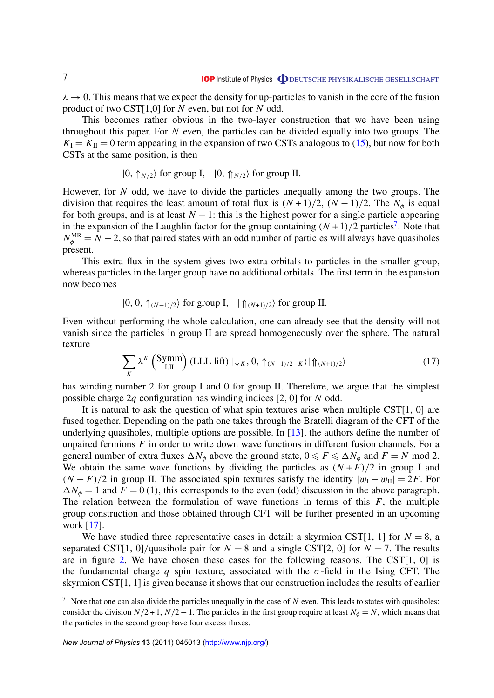$\lambda \to 0$ . This means that we expect the density for up-particles to vanish in the core of the fusion product of two CST[1,0] for *N* even, but not for *N* odd.

This becomes rather obvious in the two-layer construction that we have been using throughout this paper. For *N* even, the particles can be divided equally into two groups. The  $K_{\rm I} = K_{\rm II} = 0$  term appearing in the expansion of two CSTs analogous to [\(15\)](#page-7-0), but now for both CSTs at the same position, is then

$$
|0, \uparrow_{N/2}\rangle
$$
 for group I,  $|0, \uparrow_{N/2}\rangle$  for group II.

However, for *N* odd, we have to divide the particles unequally among the two groups. The division that requires the least amount of total flux is  $(N + 1)/2$ ,  $(N - 1)/2$ . The  $N_{\phi}$  is equal for both groups, and is at least  $N - 1$ : this is the highest power for a single particle appearing in the expansion of the Laughlin factor for the group containing  $(N + 1)/2$  particles<sup>7</sup>. Note that  $N_{\phi}^{\text{MR}} = N - 2$ , so that paired states with an odd number of particles will always have quasiholes present.

This extra flux in the system gives two extra orbitals to particles in the smaller group, whereas particles in the larger group have no additional orbitals. The first term in the expansion now becomes

$$
|0, 0, \uparrow_{(N-1)/2}\rangle
$$
 for group I,  $|\uparrow_{(N+1)/2}\rangle$  for group II.

Even without performing the whole calculation, one can already see that the density will not vanish since the particles in group II are spread homogeneously over the sphere. The natural texture

$$
\sum_{K} \lambda^{K} \left( \text{Symm} \right) \left( \text{LLL lift} \right) \left| \downarrow_{K} \right. 0, \left. \uparrow_{(N-1)/2-K} \right\rangle \left| \left. \uparrow_{(N+1)/2} \right\rangle \right) \tag{17}
$$

has winding number 2 for group I and 0 for group II. Therefore, we argue that the simplest possible charge 2*q* configuration has winding indices [2, 0] for *N* odd.

It is natural to ask the question of what spin textures arise when multiple CST[1, 0] are fused together. Depending on the path one takes through the Bratelli diagram of the CFT of the underlying quasiholes, multiple options are possible. In [\[13\]](#page-10-0), the authors define the number of unpaired fermions *F* in order to write down wave functions in different fusion channels. For a general number of extra fluxes  $\Delta N_{\phi}$  above the ground state,  $0 \le F \le \Delta N_{\phi}$  and  $F = N \text{ mod } 2$ . We obtain the same wave functions by dividing the particles as  $(N + F)/2$  in group I and  $(N - F)/2$  in group II. The associated spin textures satisfy the identity  $|w_1 - w_1| = 2F$ . For  $\Delta N_{\phi} = 1$  and  $F = 0$  (1), this corresponds to the even (odd) discussion in the above paragraph. The relation between the formulation of wave functions in terms of this *F*, the multiple group construction and those obtained through CFT will be further presented in an upcoming work [\[17\]](#page-10-0).

We have studied three representative cases in detail: a skyrmion CST[1, 1] for  $N = 8$ , a separated CST[1, 0]/quasihole pair for  $N = 8$  and a single CST[2, 0] for  $N = 7$ . The results are in figure [2.](#page-9-0) We have chosen these cases for the following reasons. The CST[1, 0] is the fundamental charge *q* spin texture, associated with the  $\sigma$ -field in the Ising CFT. The skyrmion CST[1, 1] is given because it shows that our construction includes the results of earlier

<sup>7</sup> Note that one can also divide the particles unequally in the case of *N* even. This leads to states with quasiholes: consider the division  $N/2 + 1$ ,  $N/2 - 1$ . The particles in the first group require at least  $N_{\phi} = N$ , which means that the particles in the second group have four excess fluxes.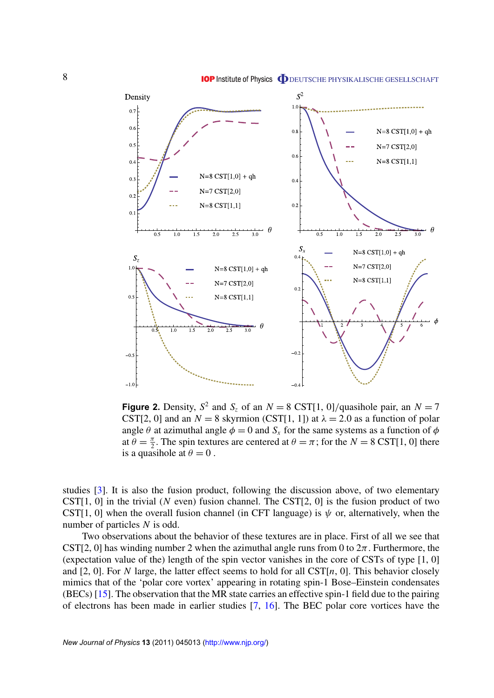<span id="page-9-0"></span>

**Figure 2.** Density,  $S^2$  and  $S_z$  of an  $N = 8 \text{ CST}[1, 0]$ /quasihole pair, an  $N = 7$ CST[2, 0] and an  $N = 8$  skyrmion (CST[1, 1]) at  $\lambda = 2.0$  as a function of polar angle  $\theta$  at azimuthal angle  $\phi = 0$  and  $S_x$  for the same systems as a function of  $\phi$ at  $\theta = \frac{\pi}{2}$  $\frac{\pi}{2}$ . The spin textures are centered at  $\theta = \pi$ ; for the  $N = 8 \text{ CST}[1, 0]$  there is a quasihole at  $\theta = 0$ .

studies [\[3\]](#page-10-0). It is also the fusion product, following the discussion above, of two elementary CST[1, 0] in the trivial (*N* even) fusion channel. The CST[2, 0] is the fusion product of two CST[1, 0] when the overall fusion channel (in CFT language) is  $\psi$  or, alternatively, when the number of particles *N* is odd.

Two observations about the behavior of these textures are in place. First of all we see that CST[2, 0] has winding number 2 when the azimuthal angle runs from 0 to  $2\pi$ . Furthermore, the (expectation value of the) length of the spin vector vanishes in the core of CSTs of type [1, 0] and [2, 0]. For *N* large, the latter effect seems to hold for all  $\text{CST}[n, 0]$ . This behavior closely mimics that of the 'polar core vortex' appearing in rotating spin-1 Bose–Einstein condensates (BECs) [\[15\]](#page-10-0). The observation that the MR state carries an effective spin-1 field due to the pairing of electrons has been made in earlier studies [\[7,](#page-10-0) [16\]](#page-10-0). The BEC polar core vortices have the